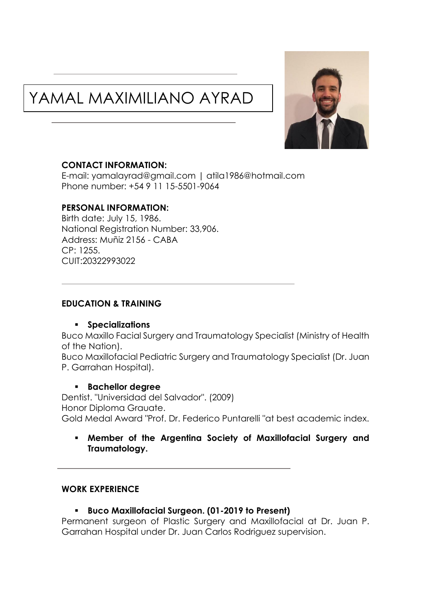# YAMAL MAXIMILIANO AYRAD



#### **CONTACT INFORMATION:**

E-mail: [yamalayrad@gmail.com](mailto:yamalayrad@gmail.com) | atila1986@hotmail.com Phone number: +54 9 11 15-5501-9064

#### **PERSONAL INFORMATION:**

Birth date: July 15, 1986. National Registration Number: 33,906. Address: Muñiz 2156 - CABA  $CP: 1255$ CUIT:20322993022

# **EDUCATION & TRAINING**

#### ▪ **Specializations**

Buco Maxillo Facial Surgery and Traumatology Specialist (Ministry of Health of the Nation).

Buco Maxillofacial Pediatric Surgery and Traumatology Specialist (Dr. Juan P. Garrahan Hospital).

#### ▪ **Bachellor degree**

Dentist. "Universidad del Salvador". (2009) Honor Diploma Grauate. Gold Medal Award "Prof. Dr. Federico Puntarelli "at best academic index.

#### ▪ **Member of the Argentina Society of Maxillofacial Surgery and Traumatology.**

#### **WORK EXPERIENCE**

# ▪ **Buco Maxillofacial Surgeon. (01-2019 to Present)**

Permanent surgeon of Plastic Surgery and Maxillofacial at Dr. Juan P. Garrahan Hospital under Dr. Juan Carlos Rodriguez supervision.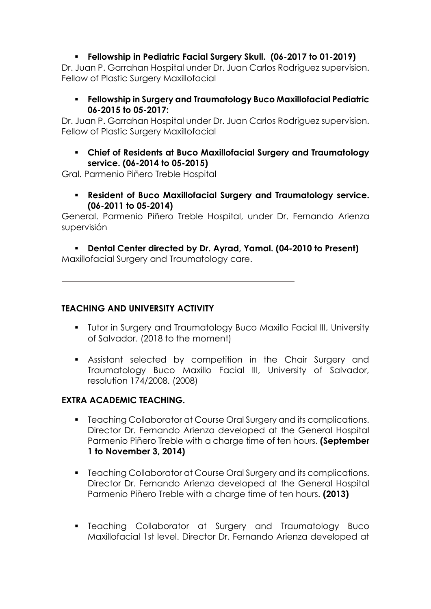# ▪ **Fellowship in Pediatric Facial Surgery Skull. (06-2017 to 01-2019)**

Dr. Juan P. Garrahan Hospital under Dr. Juan Carlos Rodriguez supervision. Fellow of Plastic Surgery Maxillofacial

▪ **Fellowship in Surgery and Traumatology Buco Maxillofacial Pediatric 06-2015 to 05-2017:** 

Dr. Juan P. Garrahan Hospital under Dr. Juan Carlos Rodriguez supervision. Fellow of Plastic Surgery Maxillofacial

▪ **Chief of Residents at Buco Maxillofacial Surgery and Traumatology service. (06-2014 to 05-2015)**

Gral. Parmenio Piñero Treble Hospital

▪ **Resident of Buco Maxillofacial Surgery and Traumatology service. (06-2011 to 05-2014)**

General. Parmenio Piñero Treble Hospital, under Dr. Fernando Arienza supervisión

▪ **Dental Center directed by Dr. Ayrad, Yamal. (04-2010 to Present)**

Maxillofacial Surgery and Traumatology care.

# **TEACHING AND UNIVERSITY ACTIVITY**

- Tutor in Surgery and Traumatology Buco Maxillo Facial III, University of Salvador. (2018 to the moment)
- Assistant selected by competition in the Chair Surgery and Traumatology Buco Maxillo Facial III, University of Salvador, resolution 174/2008. (2008)

# **EXTRA ACADEMIC TEACHING.**

- Teaching Collaborator at Course Oral Surgery and its complications. Director Dr. Fernando Arienza developed at the General Hospital Parmenio Piñero Treble with a charge time of ten hours. **(September 1 to November 3, 2014)**
- Teaching Collaborator at Course Oral Surgery and its complications. Director Dr. Fernando Arienza developed at the General Hospital Parmenio Piñero Treble with a charge time of ten hours. **(2013)**
- Teaching Collaborator at Surgery and Traumatology Buco Maxillofacial 1st level. Director Dr. Fernando Arienza developed at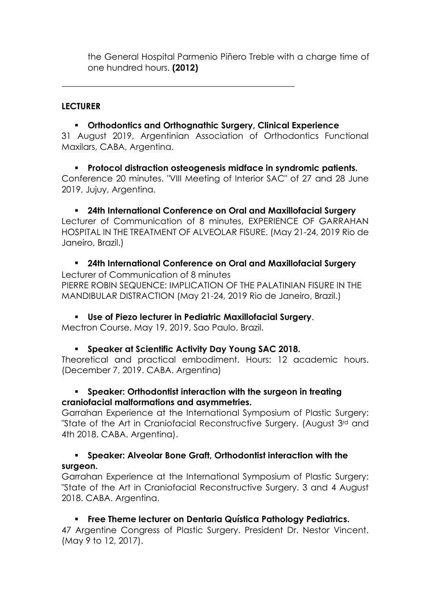the General Hospital Parmenio Piñero Treble with a charge time of one hundred hours. **(2012)**

# **LECTURER**

# ▪ **Orthodontics and Orthognathic Surgery, Clinical Experience**

31 August 2019, Argentinian Association of Orthodontics Functional Maxilars, CABA, Argentina.

▪ **Protocol distraction osteogenesis midface in syndromic patients.** Conference 20 minutes. "VIII Meeting of Interior SAC" of 27 and 28 June 2019, Jujuy, Argentina.

▪ **24th International Conference on Oral and Maxillofacial Surgery**  Lecturer of Communication of 8 minutes, EXPERIENCE OF GARRAHAN HOSPITAL IN THE TREATMENT OF ALVEOLAR FISURE. (May 21-24, 2019 Rio de Janeiro, Brazil.)

▪ **24th International Conference on Oral and Maxillofacial Surgery**  Lecturer of Communication of 8 minutes PIERRE ROBIN SEQUENCE: IMPLICATION OF THE PALATINIAN FISURE IN THE MANDIBULAR DISTRACTION (May 21-24, 2019 Rio de Janeiro, Brazil.)

▪ **Use of Piezo lecturer in Pediatric Maxillofacial Surgery**.

Mectron Course, May 19, 2019, Sao Paulo, Brazil.

▪ **Speaker at Scientific Activity Day Young SAC 2018.**

Theoretical and practical embodiment. Hours: 12 academic hours. (December 7, 2019. CABA. Argentina)

#### ▪ **Speaker: Orthodontist interaction with the surgeon in treating craniofacial malformations and asymmetries.**

Garrahan Experience at the International Symposium of Plastic Surgery: "State of the Art in Craniofacial Reconstructive Surgery. (August 3rd and 4th 2018. CABA. Argentina).

#### ▪ **Speaker: Alveolar Bone Graft, Orthodontist interaction with the surgeon.**

Garrahan Experience at the International Symposium of Plastic Surgery: "State of the Art in Craniofacial Reconstructive Surgery. 3 and 4 August 2018. CABA. Argentina.

# ▪ **Free Theme lecturer on Dentaria Quística Pathology Pediatrics.**

47 Argentine Congress of Plastic Surgery. President Dr. Nestor Vincent. (May 9 to 12, 2017).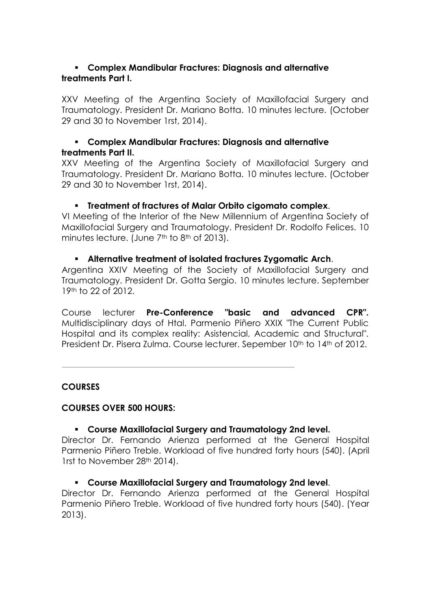#### ▪ **Complex Mandibular Fractures: Diagnosis and alternative treatments Part I.**

XXV Meeting of the Argentina Society of Maxillofacial Surgery and Traumatology. President Dr. Mariano Botta. 10 minutes lecture. (October 29 and 30 to November 1rst, 2014).

#### ▪ **Complex Mandibular Fractures: Diagnosis and alternative treatments Part II.**

XXV Meeting of the Argentina Society of Maxillofacial Surgery and Traumatology. President Dr. Mariano Botta. 10 minutes lecture. (October 29 and 30 to November 1rst, 2014).

#### ▪ **Treatment of fractures of Malar Orbito cigomato complex**.

VI Meeting of the Interior of the New Millennium of Argentina Society of Maxillofacial Surgery and Traumatology. President Dr. Rodolfo Felices. 10 minutes lecture. (June 7<sup>th</sup> to 8<sup>th</sup> of 2013).

#### ▪ **Alternative treatment of isolated fractures Zygomatic Arch**.

Argentina XXIV Meeting of the Society of Maxillofacial Surgery and Traumatology. President Dr. Gotta Sergio. 10 minutes lecture. September 19th to 22 of 2012.

Course lecturer **Pre-Conference "basic and advanced CPR".** Multidisciplinary days of Htal. Parmenio Piñero XXIX "The Current Public Hospital and its complex reality: Asistencial, Academic and Structural". President Dr. Pisera Zulma. Course lecturer. Sepember 10<sup>th</sup> to 14<sup>th</sup> of 2012.

#### **COURSES**

#### **COURSES OVER 500 HOURS:**

# ▪ **Course Maxillofacial Surgery and Traumatology 2nd level.**

Director Dr. Fernando Arienza performed at the General Hospital Parmenio Piñero Treble. Workload of five hundred forty hours (540). (April 1rst to November 28th 2014).

#### ▪ **Course Maxillofacial Surgery and Traumatology 2nd level**.

Director Dr. Fernando Arienza performed at the General Hospital Parmenio Piñero Treble. Workload of five hundred forty hours (540). (Year 2013).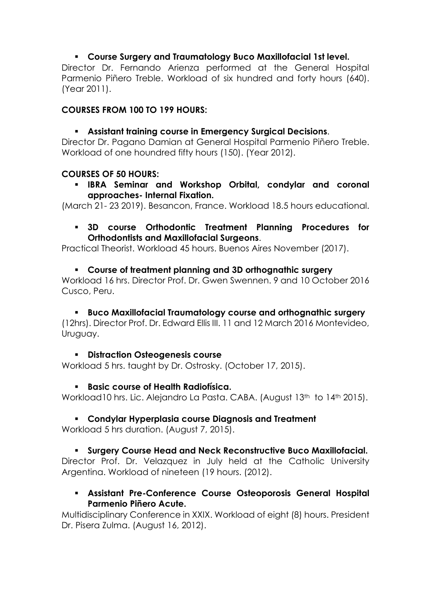# ▪ **Course Surgery and Traumatology Buco Maxillofacial 1st level.**

Director Dr. Fernando Arienza performed at the General Hospital Parmenio Piñero Treble. Workload of six hundred and forty hours (640). (Year 2011).

# **COURSES FROM 100 TO 199 HOURS:**

# ▪ **Assistant training course in Emergency Surgical Decisions**.

Director Dr. Pagano Damian at General Hospital Parmenio Piñero Treble. Workload of one houndred fifty hours (150). (Year 2012).

# **COURSES OF 50 HOURS:**

▪ **IBRA Seminar and Workshop Orbital, condylar and coronal approaches- Internal Fixation.**

(March 21- 23 2019). Besancon, France. Workload 18.5 hours educational.

# ▪ **3D course Orthodontic Treatment Planning Procedures for Orthodontists and Maxillofacial Surgeons**.

Practical Theorist. Workload 45 hours. Buenos Aires November (2017).

# ▪ **Course of treatment planning and 3D orthognathic surgery**

Workload 16 hrs. Director Prof. Dr. Gwen Swennen. 9 and 10 October 2016 Cusco, Peru.

#### ▪ **Buco Maxillofacial Traumatology course and orthognathic surgery**  (12hrs). Director Prof. Dr. Edward Ellis III. 11 and 12 March 2016 Montevideo, Uruguay.

# ▪ **Distraction Osteogenesis course**

Workload 5 hrs. taught by Dr. Ostrosky. (October 17, 2015).

# ▪ **Basic course of Health Radiofísica.**

Workload10 hrs. Lic. Alejandro La Pasta. CABA. (August 13th to 14th 2015).

# ▪ **Condylar Hyperplasia course Diagnosis and Treatment**

Workload 5 hrs duration. (August 7, 2015).

# ▪ **Surgery Course Head and Neck Reconstructive Buco Maxillofacial.**

Director Prof. Dr. Velazquez in July held at the Catholic University Argentina. Workload of nineteen (19 hours. (2012).

# ▪ **Assistant Pre-Conference Course Osteoporosis General Hospital Parmenio Piñero Acute.**

Multidisciplinary Conference in XXIX. Workload of eight (8) hours. President Dr. Pisera Zulma. (August 16, 2012).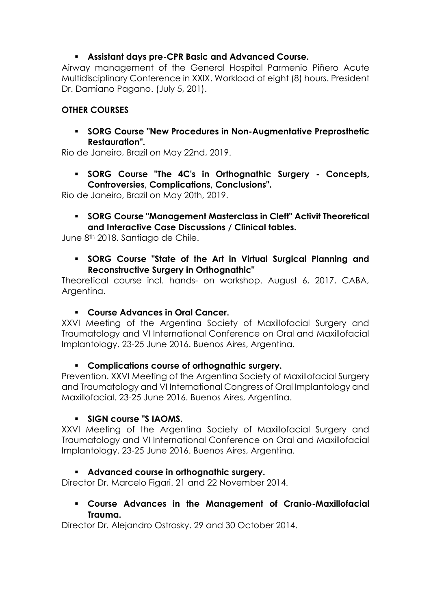# ▪ **Assistant days pre-CPR Basic and Advanced Course.**

Airway management of the General Hospital Parmenio Piñero Acute Multidisciplinary Conference in XXIX. Workload of eight (8) hours. President Dr. Damiano Pagano. (July 5, 201).

# **OTHER COURSES**

▪ **SORG Course "New Procedures in Non-Augmentative Preprosthetic Restauration".** 

Rio de Janeiro, Brazil on May 22nd, 2019.

▪ **SORG Course "The 4C's in Orthognathic Surgery - Concepts, Controversies, Complications, Conclusions".**

Rio de Janeiro, Brazil on May 20th, 2019.

▪ **SORG Course "Management Masterclass in Cleft" Activit Theoretical and Interactive Case Discussions / Clinical tables.** 

June 8th 2018. Santiago de Chile.

▪ **SORG Course "State of the Art in Virtual Surgical Planning and Reconstructive Surgery in Orthognathic"**

Theoretical course incl. hands- on workshop. August 6, 2017, CABA, Argentina.

# ▪ **Course Advances in Oral Cancer.**

XXVI Meeting of the Argentina Society of Maxillofacial Surgery and Traumatology and VI International Conference on Oral and Maxillofacial Implantology. 23-25 June 2016. Buenos Aires, Argentina.

# ▪ **Complications course of orthognathic surgery.**

Prevention. XXVI Meeting of the Argentina Society of Maxillofacial Surgery and Traumatology and VI International Congress of Oral Implantology and Maxillofacial. 23-25 June 2016. Buenos Aires, Argentina.

# ▪ **SIGN course "S IAOMS.**

XXVI Meeting of the Argentina Society of Maxillofacial Surgery and Traumatology and VI International Conference on Oral and Maxillofacial Implantology. 23-25 June 2016. Buenos Aires, Argentina.

# ▪ **Advanced course in orthognathic surgery.**

Director Dr. Marcelo Figari. 21 and 22 November 2014.

#### ▪ **Course Advances in the Management of Cranio-Maxillofacial Trauma.**

Director Dr. Alejandro Ostrosky. 29 and 30 October 2014.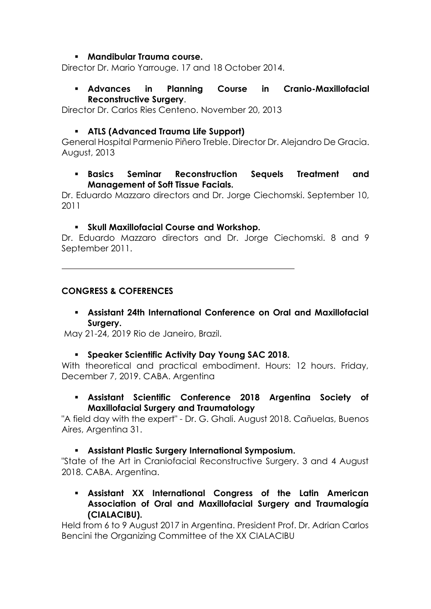#### ▪ **Mandibular Trauma course.**

Director Dr. Mario Yarrouge. 17 and 18 October 2014.

#### ▪ **Advances in Planning Course in Cranio-Maxillofacial Reconstructive Surgery**.

Director Dr. Carlos Ries Centeno. November 20, 2013

# ▪ **ATLS (Advanced Trauma Life Support)**

General Hospital Parmenio Piñero Treble. Director Dr. Alejandro De Gracia. August, 2013

#### ▪ **Basics Seminar Reconstruction Sequels Treatment and Management of Soft Tissue Facials.**

Dr. Eduardo Mazzaro directors and Dr. Jorge Ciechomski. September 10, 2011

#### ▪ **Skull Maxillofacial Course and Workshop.**

Dr. Eduardo Mazzaro directors and Dr. Jorge Ciechomski. 8 and 9 September 2011.

# **CONGRESS & COFERENCES**

▪ **Assistant 24th International Conference on Oral and Maxillofacial Surgery.**

May 21-24, 2019 Rio de Janeiro, Brazil.

#### ▪ **Speaker Scientific Activity Day Young SAC 2018.**

With theoretical and practical embodiment. Hours: 12 hours. Friday, December 7, 2019. CABA. Argenting

▪ **Assistant Scientific Conference 2018 Argentina Society of Maxillofacial Surgery and Traumatology** 

"A field day with the expert" - Dr. G. Ghali. August 2018. Cañuelas, Buenos Aires, Argentina 31.

#### ▪ **Assistant Plastic Surgery International Symposium.**

"State of the Art in Craniofacial Reconstructive Surgery. 3 and 4 August 2018. CABA. Argentina.

▪ **Assistant XX International Congress of the Latin American Association of Oral and Maxillofacial Surgery and Traumalogía (CIALACIBU).**

Held from 6 to 9 August 2017 in Argentina. President Prof. Dr. Adrian Carlos Bencini the Organizing Committee of the XX CIALACIBU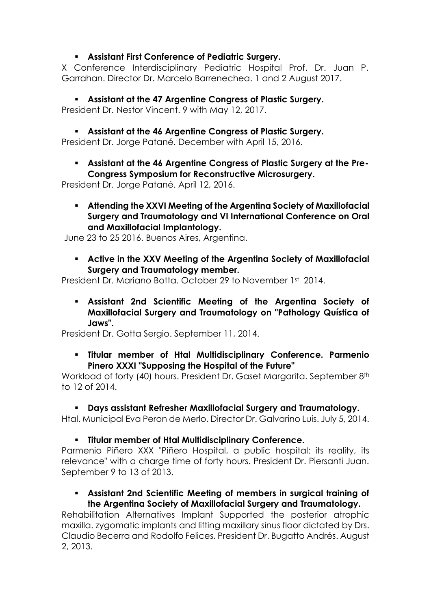# ▪ **Assistant First Conference of Pediatric Surgery.**

X Conference Interdisciplinary Pediatric Hospital Prof. Dr. Juan P. Garrahan. Director Dr. Marcelo Barrenechea. 1 and 2 August 2017.

▪ **Assistant at the 47 Argentine Congress of Plastic Surgery.** President Dr. Nestor Vincent. 9 with May 12, 2017.

▪ **Assistant at the 46 Argentine Congress of Plastic Surgery.**

President Dr. Jorge Patané. December with April 15, 2016.

▪ **Assistant at the 46 Argentine Congress of Plastic Surgery at the Pre-Congress Symposium for Reconstructive Microsurgery.** 

President Dr. Jorge Patané. April 12, 2016.

▪ **Attending the XXVI Meeting of the Argentina Society of Maxillofacial Surgery and Traumatology and VI International Conference on Oral and Maxillofacial Implantology.**

June 23 to 25 2016. Buenos Aires, Argentina.

▪ **Active in the XXV Meeting of the Argentina Society of Maxillofacial Surgery and Traumatology member.**

President Dr. Mariano Botta. October 29 to November 1st 2014.

▪ **Assistant 2nd Scientific Meeting of the Argentina Society of Maxillofacial Surgery and Traumatology on "Pathology Quística of Jaws".** 

President Dr. Gotta Sergio. September 11, 2014.

▪ **Titular member of Htal Multidisciplinary Conference. Parmenio Pinero XXXI "Supposing the Hospital of the Future"**

Workload of forty (40) hours. President Dr. Gaset Margarita. September 8th to 12 of 2014.

▪ **Days assistant Refresher Maxillofacial Surgery and Traumatology.**

Htal. Municipal Eva Peron de Merlo. Director Dr. Galvarino Luis. July 5, 2014.

▪ **Titular member of Htal Multidisciplinary Conference.** 

Parmenio Piñero XXX "Piñero Hospital, a public hospital: its reality, its relevance" with a charge time of forty hours. President Dr. Piersanti Juan. September 9 to 13 of 2013.

#### ▪ **Assistant 2nd Scientific Meeting of members in surgical training of the Argentina Society of Maxillofacial Surgery and Traumatology.**

Rehabilitation Alternatives Implant Supported the posterior atrophic maxilla. zygomatic implants and lifting maxillary sinus floor dictated by Drs. Claudio Becerra and Rodolfo Felices. President Dr. Bugatto Andrés. August 2, 2013.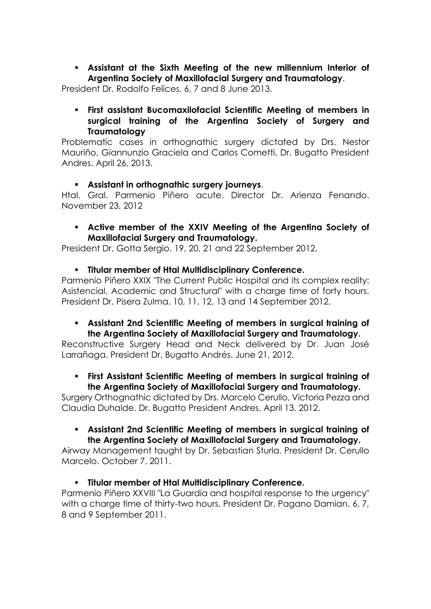▪ **Assistant at the Sixth Meeting of the new millennium Interior of Argentina Society of Maxillofacial Surgery and Traumatology**.

President Dr. Rodolfo Felices. 6, 7 and 8 June 2013.

▪ **First assistant Bucomaxilofacial Scientific Meeting of members in surgical training of the Argentina Society of Surgery and Traumatology**

Problematic cases in orthognathic surgery dictated by Drs. Nestor Mauriño, Giannunzio Graciela and Carlos Cometti. Dr. Bugatto President Andres. April 26, 2013.

#### ▪ **Assistant in orthognathic surgery journeys**.

Htal. Gral. Parmenio Piñero acute. Director Dr. Arienza Fenando. November 23, 2012

#### ▪ **Active member of the XXIV Meeting of the Argentina Society of Maxillofacial Surgery and Traumatology.**

President Dr. Gotta Sergio. 19, 20, 21 and 22 September 2012.

# ▪ **Titular member of Htal Multidisciplinary Conference.**

Parmenio Piñero XXIX "The Current Public Hospital and its complex reality: Asistencial, Academic and Structural" with a charge time of forty hours. President Dr. Pisera Zulma. 10, 11, 12, 13 and 14 September 2012.

#### ▪ **Assistant 2nd Scientific Meeting of members in surgical training of the Argentina Society of Maxillofacial Surgery and Traumatology.**

Reconstructive Surgery Head and Neck delivered by Dr. Juan José Larrañaga. President Dr. Bugatto Andrés. June 21, 2012.

#### ▪ **First Assistant Scientific Meeting of members in surgical training of the Argentina Society of Maxillofacial Surgery and Traumatology.**

Surgery Orthognathic dictated by Drs. Marcelo Cerullo, Victoria Pezza and Claudia Duhalde. Dr. Bugatto President Andres. April 13, 2012.

#### ▪ **Assistant 2nd Scientific Meeting of members in surgical training of the Argentina Society of Maxillofacial Surgery and Traumatology.**

Airway Management taught by Dr. Sebastian Sturla. President Dr. Cerullo Marcelo. October 7, 2011.

# ▪ **Titular member of Htal Multidisciplinary Conference.**

Parmenio Piñero XXVIII "La Guardia and hospital response to the urgency" with a charge time of thirty-two hours. President Dr. Pagano Damian. 6, 7, 8 and 9 September 2011.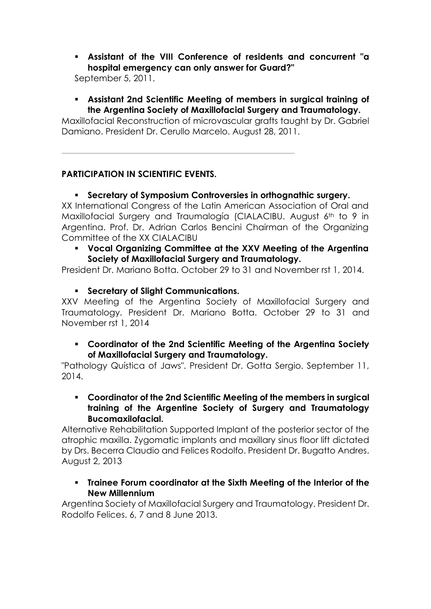▪ **Assistant of the VIII Conference of residents and concurrent "a hospital emergency can only answer for Guard?"** 

September 5, 2011.

▪ **Assistant 2nd Scientific Meeting of members in surgical training of the Argentina Society of Maxillofacial Surgery and Traumatology.**

Maxillofacial Reconstruction of microvascular grafts taught by Dr. Gabriel Damiano. President Dr. Cerullo Marcelo. August 28, 2011.

# **PARTICIPATION IN SCIENTIFIC EVENTS.**

# ▪ **Secretary of Symposium Controversies in orthognathic surgery.**

XX International Congress of the Latin American Association of Oral and Maxillofacial Surgery and Traumalogía (CIALACIBU. August 6th to 9 in Argentina. Prof. Dr. Adrian Carlos Bencini Chairman of the Organizing Committee of the XX CIALACIBU

▪ **Vocal Organizing Committee at the XXV Meeting of the Argentina Society of Maxillofacial Surgery and Traumatology.**

President Dr. Mariano Botta. October 29 to 31 and November rst 1, 2014.

▪ **Secretary of Slight Communications.**

XXV Meeting of the Argentina Society of Maxillofacial Surgery and Traumatology. President Dr. Mariano Botta. October 29 to 31 and November rst 1, 2014

▪ **Coordinator of the 2nd Scientific Meeting of the Argentina Society of Maxillofacial Surgery and Traumatology.**

"Pathology Quística of Jaws". President Dr. Gotta Sergio. September 11, 2014.

▪ **Coordinator of the 2nd Scientific Meeting of the members in surgical training of the Argentine Society of Surgery and Traumatology Bucomaxilofacial.**

Alternative Rehabilitation Supported Implant of the posterior sector of the atrophic maxilla. Zygomatic implants and maxillary sinus floor lift dictated by Drs. Becerra Claudio and Felices Rodolfo. President Dr. Bugatto Andres. August 2, 2013

▪ **Trainee Forum coordinator at the Sixth Meeting of the Interior of the New Millennium**

Argentina Society of Maxillofacial Surgery and Traumatology. President Dr. Rodolfo Felices. 6, 7 and 8 June 2013.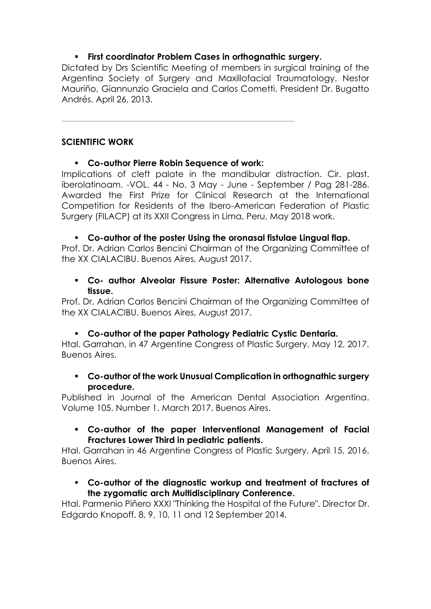# ▪ **First coordinator Problem Cases in orthognathic surgery.**

Dictated by Drs Scientific Meeting of members in surgical training of the Argentina Society of Surgery and Maxillofacial Traumatology. Nestor Mauriño, Giannunzio Graciela and Carlos Cometti. President Dr. Bugatto Andrés. April 26, 2013.

#### **SCIENTIFIC WORK**

#### ▪ **Co-author Pierre Robin Sequence of work:**

Implications of cleft palate in the mandibular distraction. Cir. plast. iberolatinoam. -VOL. 44 - No. 3 May - June - September / Pag 281-286. Awarded the First Prize for Clinical Research at the International Competition for Residents of the Ibero-American Federation of Plastic Surgery (FILACP) at its XXII Congress in Lima, Peru, May 2018 work.

#### ▪ **Co-author of the poster Using the oronasal fistulae Lingual flap.**

Prof. Dr. Adrian Carlos Bencini Chairman of the Organizing Committee of the XX CIALACIBU. Buenos Aires, August 2017.

#### ▪ **Co- author Alveolar Fissure Poster: Alternative Autologous bone tissue.**

Prof. Dr. Adrian Carlos Bencini Chairman of the Organizing Committee of the XX CIALACIBU. Buenos Aires, August 2017.

# ▪ **Co-author of the paper Pathology Pediatric Cystic Dentaria.**

Htal. Garrahan, in 47 Argentine Congress of Plastic Surgery. May 12, 2017. Buenos Aires.

#### ▪ **Co-author of the work Unusual Complication in orthognathic surgery procedure.**

Published in Journal of the American Dental Association Argentina. Volume 105. Number 1. March 2017. Buenos Aires.

#### ▪ **Co-author of the paper Interventional Management of Facial Fractures Lower Third in pediatric patients.**

Htal. Garrahan in 46 Argentine Congress of Plastic Surgery. April 15, 2016. Buenos Aires.

#### ▪ **Co-author of the diagnostic workup and treatment of fractures of the zygomatic arch Multidisciplinary Conference.**

Htal. Parmenio Piñero XXXI "Thinking the Hospital of the Future". Director Dr. Edgardo Knopoff. 8, 9, 10, 11 and 12 September 2014.